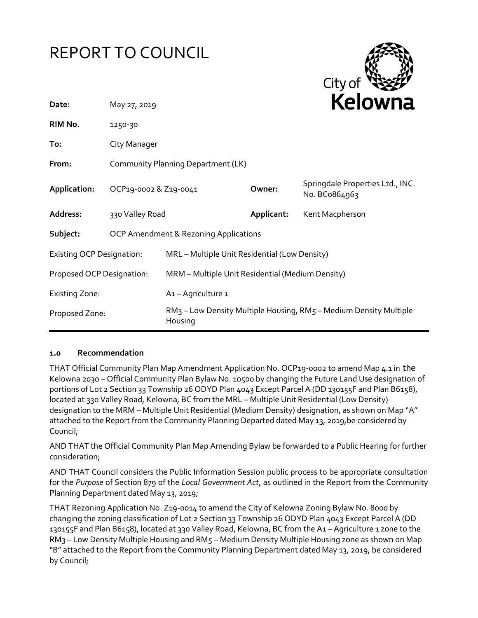# REPORT TO COUNCIL



| Date:                            | May 27, 2019                          |                                                                                          |            | <b>NEIUWIId</b>                                   |
|----------------------------------|---------------------------------------|------------------------------------------------------------------------------------------|------------|---------------------------------------------------|
| RIM No.                          | 1250-30                               |                                                                                          |            |                                                   |
| To:                              | City Manager                          |                                                                                          |            |                                                   |
| From:                            | Community Planning Department (LK)    |                                                                                          |            |                                                   |
| Application:                     | OCP19-0002 & Z19-0041                 |                                                                                          | Owner:     | Springdale Properties Ltd., INC.<br>No. BCo864963 |
| Address:                         | 330 Valley Road                       |                                                                                          | Applicant: | Kent Macpherson                                   |
| Subject:                         | OCP Amendment & Rezoning Applications |                                                                                          |            |                                                   |
| <b>Existing OCP Designation:</b> |                                       | MRL - Multiple Unit Residential (Low Density)                                            |            |                                                   |
| Proposed OCP Designation:        |                                       | MRM - Multiple Unit Residential (Medium Density)                                         |            |                                                   |
| <b>Existing Zone:</b>            |                                       | A <sub>1</sub> - Agriculture 1                                                           |            |                                                   |
| Proposed Zone:                   |                                       | RM <sub>3</sub> – Low Density Multiple Housing, RM5 – Medium Density Multiple<br>Housing |            |                                                   |

### **1.0 Recommendation**

THAT Official Community Plan Map Amendment Application No. OCP19-0002 to amend Map 4.1 in the Kelowna 2030 – Official Community Plan Bylaw No. 10500 by changing the Future Land Use designation of portions of Lot 2 Section 33 Township 26 ODYD Plan 4043 Except Parcel A (DD 130155F and Plan B6158), located at 330 Valley Road, Kelowna, BC from the MRL – Multiple Unit Residential (Low Density) designation to the MRM – Multiple Unit Residential (Medium Density) designation, as shown on Map "A" attached to the Report from the Community Planning Departed dated May 13, 2019,be considered by Council;

AND THAT the Official Community Plan Map Amending Bylaw be forwarded to a Public Hearing for further consideration;

AND THAT Council considers the Public Information Session public process to be appropriate consultation for the *Purpose* of Section 879 of the *Local Government Act*, as outlined in the Report from the Community Planning Department dated May 13, 2019;

THAT Rezoning Application No. Z19-0014 to amend the City of Kelowna Zoning Bylaw No. 8000 by changing the zoning classification of Lot 2 Section 33 Township 26 ODYD Plan 4043 Except Parcel A (DD 130155F and Plan B6158), located at 330 Valley Road, Kelowna, BC from the A1 – Agriculture 1 zone to the RM3 – Low Density Multiple Housing and RM5 – Medium Density Multiple Housing zone as shown on Map "B" attached to the Report from the Community Planning Department dated May 13, 2019, be considered by Council;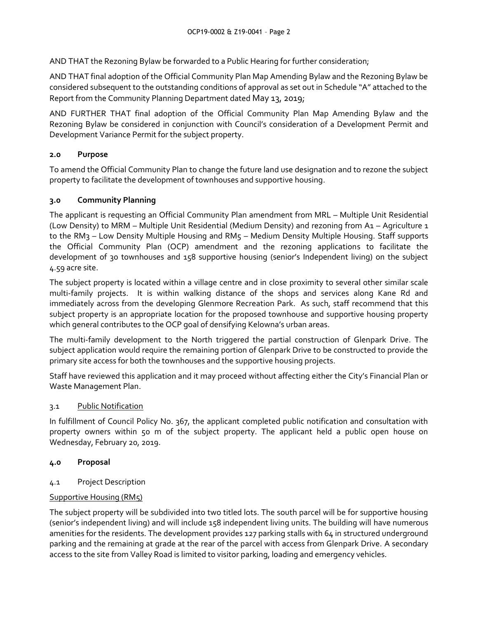AND THAT the Rezoning Bylaw be forwarded to a Public Hearing for further consideration;

AND THAT final adoption of the Official Community Plan Map Amending Bylaw and the Rezoning Bylaw be considered subsequent to the outstanding conditions of approval as set out in Schedule "A" attached to the Report from the Community Planning Department dated May 13, 2019;

AND FURTHER THAT final adoption of the Official Community Plan Map Amending Bylaw and the Rezoning Bylaw be considered in conjunction with Council's consideration of a Development Permit and Development Variance Permit for the subject property.

# **2.0 Purpose**

To amend the Official Community Plan to change the future land use designation and to rezone the subject property to facilitate the development of townhouses and supportive housing.

# **3.0 Community Planning**

The applicant is requesting an Official Community Plan amendment from MRL – Multiple Unit Residential (Low Density) to MRM – Multiple Unit Residential (Medium Density) and rezoning from A1 – Agriculture 1 to the RM3 - Low Density Multiple Housing and RM5 - Medium Density Multiple Housing. Staff supports the Official Community Plan (OCP) amendment and the rezoning applications to facilitate the development of 30 townhouses and 158 supportive housing (senior's Independent living) on the subject 4.59 acre site.

The subject property is located within a village centre and in close proximity to several other similar scale multi-family projects. It is within walking distance of the shops and services along Kane Rd and immediately across from the developing Glenmore Recreation Park. As such, staff recommend that this subject property is an appropriate location for the proposed townhouse and supportive housing property which general contributes to the OCP goal of densifying Kelowna's urban areas.

The multi-family development to the North triggered the partial construction of Glenpark Drive. The subject application would require the remaining portion of Glenpark Drive to be constructed to provide the primary site access for both the townhouses and the supportive housing projects.

Staff have reviewed this application and it may proceed without affecting either the City's Financial Plan or Waste Management Plan.

### 3.1 Public Notification

In fulfillment of Council Policy No. 367, the applicant completed public notification and consultation with property owners within 50 m of the subject property. The applicant held a public open house on Wednesday, February 20, 2019.

### **4.0 Proposal**

4.1 Project Description

# Supportive Housing (RM5)

The subject property will be subdivided into two titled lots. The south parcel will be for supportive housing (senior's independent living) and will include 158 independent living units. The building will have numerous amenities for the residents. The development provides 127 parking stalls with 64 in structured underground parking and the remaining at grade at the rear of the parcel with access from Glenpark Drive. A secondary access to the site from Valley Road is limited to visitor parking, loading and emergency vehicles.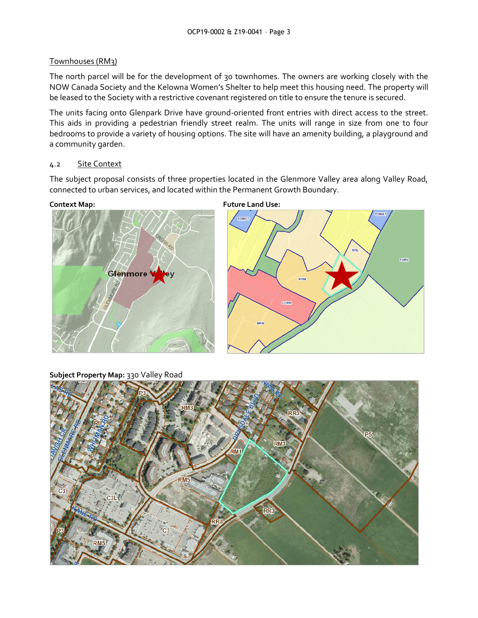#### Townhouses (RM3)

The north parcel will be for the development of 30 townhomes. The owners are working closely with the NOW Canada Society and the Kelowna Women's Shelter to help meet this housing need. The property will be leased to the Society with a restrictive covenant registered on title to ensure the tenure is secured.

The units facing onto Glenpark Drive have ground-oriented front entries with direct access to the street. This aids in providing a pedestrian friendly street realm. The units will range in size from one to four bedrooms to provide a variety of housing options. The site will have an amenity building, a playground and a community garden.

#### 4.2 Site Context

The subject proposal consists of three properties located in the Glenmore Valley area along Valley Road, connected to urban services, and located within the Permanent Growth Boundary.





**Subject Property Map:** 330 Valley Road



**Context Map: Future Land Use:**